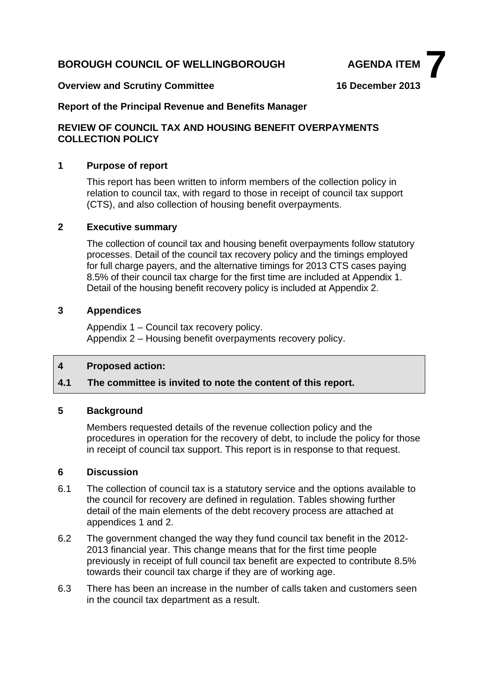# **BOROUGH COUNCIL OF WELLINGBOROUGH AGENDA ITEM**



#### **Overview and Scrutiny Committee 16 December 2013**

### **Report of the Principal Revenue and Benefits Manager**

### **REVIEW OF COUNCIL TAX AND HOUSING BENEFIT OVERPAYMENTS COLLECTION POLICY**

### **1 Purpose of report**

This report has been written to inform members of the collection policy in relation to council tax, with regard to those in receipt of council tax support (CTS), and also collection of housing benefit overpayments.

#### **2 Executive summary**

The collection of council tax and housing benefit overpayments follow statutory processes. Detail of the council tax recovery policy and the timings employed for full charge payers, and the alternative timings for 2013 CTS cases paying 8.5% of their council tax charge for the first time are included at Appendix 1. Detail of the housing benefit recovery policy is included at Appendix 2.

#### **3 Appendices**

Appendix 1 – Council tax recovery policy. Appendix 2 – Housing benefit overpayments recovery policy.

## **4 Proposed action:**

## **4.1 The committee is invited to note the content of this report.**

#### **5 Background**

Members requested details of the revenue collection policy and the procedures in operation for the recovery of debt, to include the policy for those in receipt of council tax support. This report is in response to that request.

#### **6 Discussion**

- 6.1 The collection of council tax is a statutory service and the options available to the council for recovery are defined in regulation. Tables showing further detail of the main elements of the debt recovery process are attached at appendices 1 and 2.
- 6.2 The government changed the way they fund council tax benefit in the 2012- 2013 financial year. This change means that for the first time people previously in receipt of full council tax benefit are expected to contribute 8.5% towards their council tax charge if they are of working age.
- 6.3 There has been an increase in the number of calls taken and customers seen in the council tax department as a result.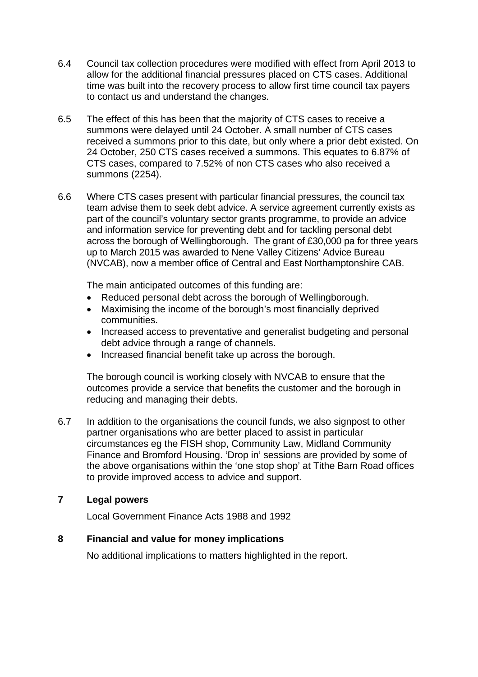- 6.4 Council tax collection procedures were modified with effect from April 2013 to allow for the additional financial pressures placed on CTS cases. Additional time was built into the recovery process to allow first time council tax payers to contact us and understand the changes.
- 6.5 The effect of this has been that the majority of CTS cases to receive a summons were delayed until 24 October. A small number of CTS cases received a summons prior to this date, but only where a prior debt existed. On 24 October, 250 CTS cases received a summons. This equates to 6.87% of CTS cases, compared to 7.52% of non CTS cases who also received a summons (2254).
- 6.6 Where CTS cases present with particular financial pressures, the council tax team advise them to seek debt advice. A service agreement currently exists as part of the council's voluntary sector grants programme, to provide an advice and information service for preventing debt and for tackling personal debt across the borough of Wellingborough. The grant of £30,000 pa for three years up to March 2015 was awarded to Nene Valley Citizens' Advice Bureau (NVCAB), now a member office of Central and East Northamptonshire CAB.

The main anticipated outcomes of this funding are:

- Reduced personal debt across the borough of Wellingborough.
- Maximising the income of the borough's most financially deprived communities.
- Increased access to preventative and generalist budgeting and personal debt advice through a range of channels.
- Increased financial benefit take up across the borough.

The borough council is working closely with NVCAB to ensure that the outcomes provide a service that benefits the customer and the borough in reducing and managing their debts.

6.7 In addition to the organisations the council funds, we also signpost to other partner organisations who are better placed to assist in particular circumstances eg the FISH shop, Community Law, Midland Community Finance and Bromford Housing. 'Drop in' sessions are provided by some of the above organisations within the 'one stop shop' at Tithe Barn Road offices to provide improved access to advice and support.

### **7 Legal powers**

Local Government Finance Acts 1988 and 1992

### **8 Financial and value for money implications**

No additional implications to matters highlighted in the report.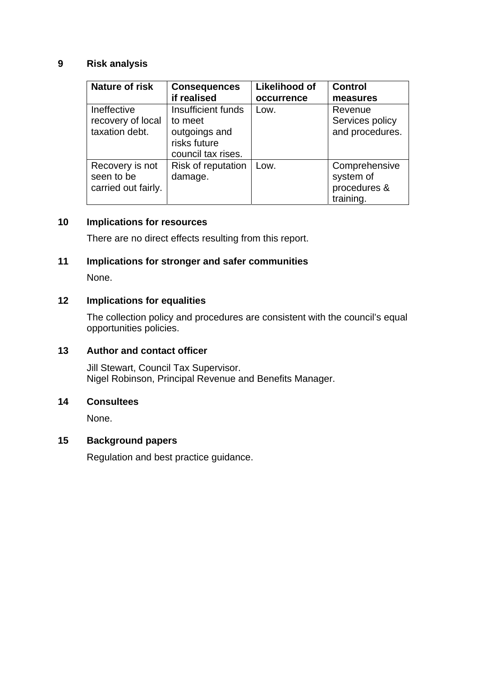## **9 Risk analysis**

| Nature of risk      | <b>Consequences</b> | <b>Likelihood of</b> | <b>Control</b>  |
|---------------------|---------------------|----------------------|-----------------|
|                     | if realised         | occurrence           | measures        |
| Ineffective         | Insufficient funds  | Low.                 | Revenue         |
| recovery of local   | to meet             |                      | Services policy |
| taxation debt.      | outgoings and       |                      | and procedures. |
|                     | risks future        |                      |                 |
|                     | council tax rises.  |                      |                 |
| Recovery is not     | Risk of reputation  | Low.                 | Comprehensive   |
| seen to be          | damage.             |                      | system of       |
| carried out fairly. |                     |                      | procedures &    |
|                     |                     |                      | training.       |

# **10 Implications for resources**

There are no direct effects resulting from this report.

# **11 Implications for stronger and safer communities**

None.

## **12 Implications for equalities**

The collection policy and procedures are consistent with the council's equal opportunities policies.

# **13 Author and contact officer**

Jill Stewart, Council Tax Supervisor. Nigel Robinson, Principal Revenue and Benefits Manager.

# **14 Consultees**

None.

# **15 Background papers**

Regulation and best practice guidance.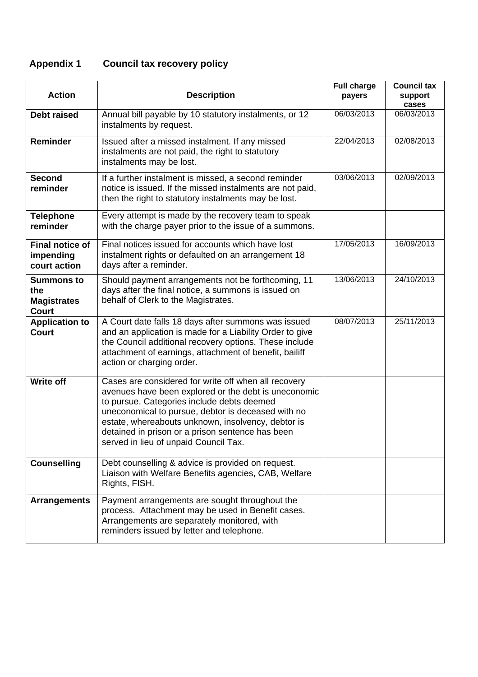# **Appendix 1 Council tax recovery policy**

| <b>Action</b>                                                  | <b>Description</b>                                                                                                                                                                                                                                                                                                                                                  | <b>Full charge</b><br>payers | <b>Council tax</b><br>support<br>cases |
|----------------------------------------------------------------|---------------------------------------------------------------------------------------------------------------------------------------------------------------------------------------------------------------------------------------------------------------------------------------------------------------------------------------------------------------------|------------------------------|----------------------------------------|
| <b>Debt raised</b>                                             | Annual bill payable by 10 statutory instalments, or 12<br>instalments by request.                                                                                                                                                                                                                                                                                   | 06/03/2013                   | 06/03/2013                             |
| <b>Reminder</b>                                                | Issued after a missed instalment. If any missed<br>instalments are not paid, the right to statutory<br>instalments may be lost.                                                                                                                                                                                                                                     | 22/04/2013                   | 02/08/2013                             |
| <b>Second</b><br>reminder                                      | If a further instalment is missed, a second reminder<br>notice is issued. If the missed instalments are not paid,<br>then the right to statutory instalments may be lost.                                                                                                                                                                                           | 03/06/2013                   | 02/09/2013                             |
| <b>Telephone</b><br>reminder                                   | Every attempt is made by the recovery team to speak<br>with the charge payer prior to the issue of a summons.                                                                                                                                                                                                                                                       |                              |                                        |
| <b>Final notice of</b><br>impending<br>court action            | Final notices issued for accounts which have lost<br>instalment rights or defaulted on an arrangement 18<br>days after a reminder.                                                                                                                                                                                                                                  | 17/05/2013                   | 16/09/2013                             |
| <b>Summons to</b><br>the<br><b>Magistrates</b><br><b>Court</b> | Should payment arrangements not be forthcoming, 11<br>days after the final notice, a summons is issued on<br>behalf of Clerk to the Magistrates.                                                                                                                                                                                                                    | 13/06/2013                   | 24/10/2013                             |
| <b>Application to</b><br><b>Court</b>                          | A Court date falls 18 days after summons was issued<br>and an application is made for a Liability Order to give<br>the Council additional recovery options. These include<br>attachment of earnings, attachment of benefit, bailiff<br>action or charging order.                                                                                                    | 08/07/2013                   | 25/11/2013                             |
| <b>Write off</b>                                               | Cases are considered for write off when all recovery<br>avenues have been explored or the debt is uneconomic<br>to pursue. Categories include debts deemed<br>uneconomical to pursue, debtor is deceased with no<br>estate, whereabouts unknown, insolvency, debtor is<br>detained in prison or a prison sentence has been<br>served in lieu of unpaid Council Tax. |                              |                                        |
| <b>Counselling</b>                                             | Debt counselling & advice is provided on request.<br>Liaison with Welfare Benefits agencies, CAB, Welfare<br>Rights, FISH.                                                                                                                                                                                                                                          |                              |                                        |
| <b>Arrangements</b>                                            | Payment arrangements are sought throughout the<br>process. Attachment may be used in Benefit cases.<br>Arrangements are separately monitored, with<br>reminders issued by letter and telephone.                                                                                                                                                                     |                              |                                        |